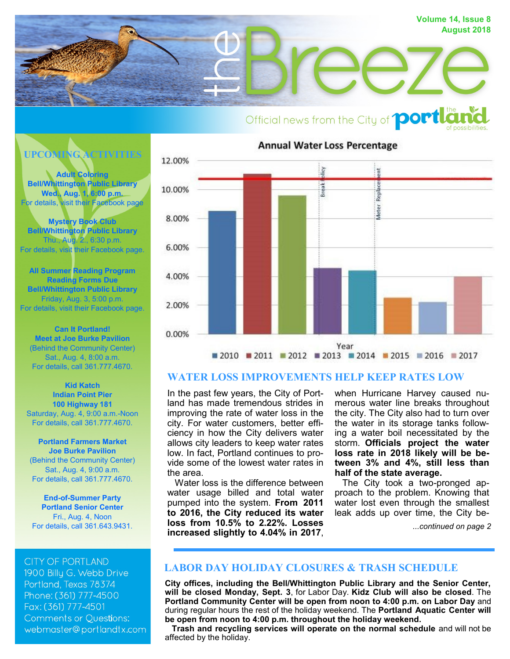

# Official news from the City of **portla**

**UPCOMING ACTIVITIES**

**[Adult Coloring](https://www.facebook.com/BellWhittingtonLibrary/?ref=br_rs) [Bell/Whittington Public Library](https://www.facebook.com/BellWhittingtonLibrary/?ref=br_rs) [Wed., Aug. 1, 6:00 p.m.](https://www.facebook.com/BellWhittingtonLibrary/?ref=br_rs)** [For details, visit their Facebook page](https://www.facebook.com/BellWhittingtonLibrary/?ref=br_rs)

**[Mystery Book Club](https://www.facebook.com/BellWhittingtonLibrary/?ref=br_rs) [Bell/Whittington Public Library](https://www.facebook.com/BellWhittingtonLibrary/?ref=br_rs)** [Thu., Aug. 2., 6:30 p.m.](https://www.facebook.com/BellWhittingtonLibrary/?ref=br_rs) [For details, visit their Facebook page.](https://www.facebook.com/BellWhittingtonLibrary/?ref=br_rs)

**[All Summer Reading Program](https://www.facebook.com/BellWhittingtonLibrary/?ref=br_rs) [Reading Forms Due](https://www.facebook.com/BellWhittingtonLibrary/?ref=br_rs) [Bell/Whittington Public Library](https://www.facebook.com/BellWhittingtonLibrary/?ref=br_rs)** [Friday, Aug. 3, 5:00 p.m.](https://www.facebook.com/BellWhittingtonLibrary/?ref=br_rs) [For details, visit their Facebook page.](https://www.facebook.com/BellWhittingtonLibrary/?ref=br_rs)

**[Can It Portland!](http://portlandtx.com/index.aspx?nid=126) [Meet at Joe Burke Pavilion](http://portlandtx.com/index.aspx?nid=126)** [\(Behind the Community Center\)](http://portlandtx.com/index.aspx?nid=126) [Sat., Aug. 4, 8:00 a.m.](http://portlandtx.com/index.aspx?nid=126) [For details, call 361.777.4670.](http://portlandtx.com/index.aspx?nid=126)

**[Kid Katch](http://portlandtx.com/index.aspx?nid=126) [Indian Point Pier](http://portlandtx.com/index.aspx?nid=126) [100 Highway 181](http://portlandtx.com/index.aspx?nid=126)** [Saturday, Aug. 4, 9:00 a.m.](http://portlandtx.com/index.aspx?nid=126)-Noon [For details, call 361.777.4670.](http://portlandtx.com/index.aspx?nid=126)

**[Portland Farmers Market](http://portlandtx.com/index.aspx?nid=126) [Joe Burke Pavilion](http://portlandtx.com/index.aspx?nid=126)** [\(Behind the Community Center\)](http://portlandtx.com/index.aspx?nid=126) [Sat., Aug. 4, 9:00 a.m.](http://portlandtx.com/index.aspx?nid=126) [For details, call 361.777.4670.](http://portlandtx.com/index.aspx?nid=126)

**End-of-[Summer Party](http://portlandtx.com/index.aspx?nid=141) [Portland Senior Center](http://portlandtx.com/index.aspx?nid=141)** [Fri., Aug. 4, Noon](http://portlandtx.com/index.aspx?nid=141) [For details, call 361.643.9431.](http://portlandtx.com/index.aspx?nid=141)

**CITY OF PORTLAND** 

1900 Billu G. Webb Drive Portland, Texas 78374 Phone: (361) 777-4500 Fax: (361) 777-4501 **Comments or Questions:** webmaster@portlandtx.com



# **WATER LOSS IMPROVEMENTS HELP KEEP RATES LOW**

In the past few years, the City of Portland has made tremendous strides in improving the rate of water loss in the city. For water customers, better efficiency in how the City delivers water allows city leaders to keep water rates low. In fact, Portland continues to provide some of the lowest water rates in the area.

 Water loss is the difference between water usage billed and total water pumped into the system. **From 2011 to 2016, the City reduced its water loss from 10.5% to 2.22%. Losses increased slightly to 4.04% in 2017**,

when Hurricane Harvey caused numerous water line breaks throughout the city. The City also had to turn over the water in its storage tanks following a water boil necessitated by the storm. **Officials project the water loss rate in 2018 likely will be between 3% and 4%, still less than half of the state average.**

 The City took a two-pronged approach to the problem. Knowing that water lost even through the smallest leak adds up over time, the City be-

*...continued on page 2*

# **LABOR DAY HOLIDAY CLOSURES & TRASH SCHEDULE**

**City offices, including the Bell/Whittington Public Library and the Senior Center, will be closed Monday, Sept. 3**, for Labor Day. **Kidz Club will also be closed**. The **Portland Community Center will be open from noon to 4:00 p.m. on Labor Day** and during regular hours the rest of the holiday weekend. The **Portland Aquatic Center will be open from noon to 4:00 p.m. throughout the holiday weekend.** 

 **Trash and recycling services will operate on the normal schedule** and will not be affected by the holiday.